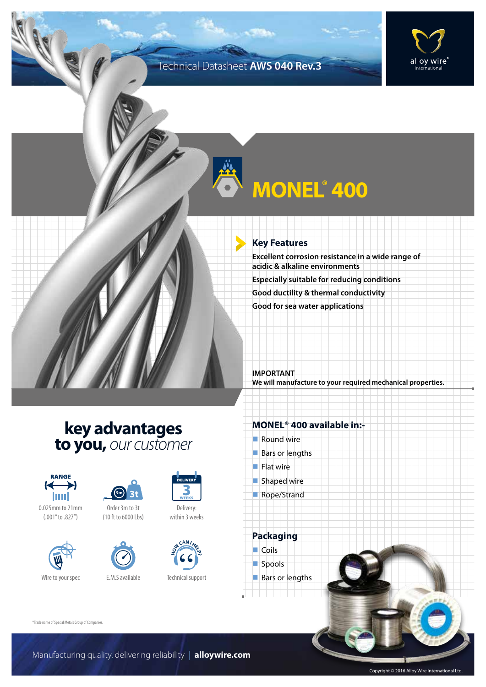### Technical Datasheet **AWS 040 Rev.3**



# **MONEL®** 400

#### **Key Features**

**Excellent corrosion resistance in a wide range of acidic & alkaline environments Especially suitable for reducing conditions Good ductility & thermal conductivity Good for sea water applications**

**IMPORTANT We will manufacture to your required mechanical properties.**

### **key advantages to you,** *our customer*



0.025mm to 21mm (.001" to .827")







Delivery: within 3 weeks



Technical support

### **MONEL® 400 available in:-**

- $\blacksquare$  Round wire
- $Bars$  or lengths
- $\blacksquare$  Flat wire
- $\blacksquare$  Shaped wire
- Rope/Strand

**Packaging**  $\Box$  Coils spools  $\blacksquare$  Bars or lengths

®Trade name of Special Metals Group of Companies.

Copyright © 2016 Alloy Wire International Ltd.